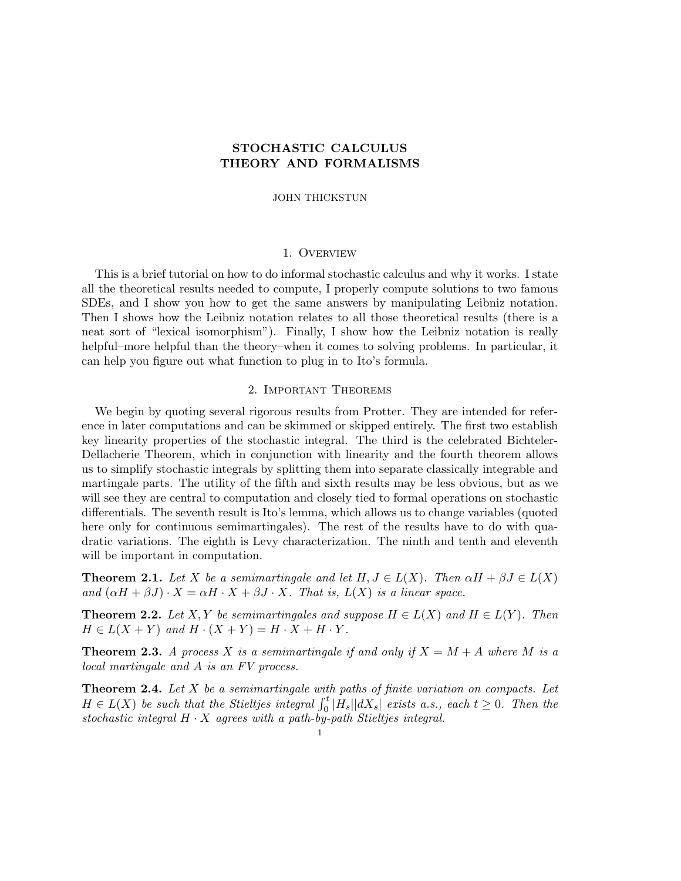# STOCHASTIC CALCULUS THEORY AND FORMALISMS

### JOHN THICKSTUN

# 1. Overview

This is a brief tutorial on how to do informal stochastic calculus and why it works. I state all the theoretical results needed to compute, I properly compute solutions to two famous SDEs, and I show you how to get the same answers by manipulating Leibniz notation. Then I shows how the Leibniz notation relates to all those theoretical results (there is a neat sort of "lexical isomorphism"). Finally, I show how the Leibniz notation is really helpful–more helpful than the theory–when it comes to solving problems. In particular, it can help you figure out what function to plug in to Ito's formula.

#### 2. Important Theorems

We begin by quoting several rigorous results from Protter. They are intended for reference in later computations and can be skimmed or skipped entirely. The first two establish key linearity properties of the stochastic integral. The third is the celebrated Bichteler-Dellacherie Theorem, which in conjunction with linearity and the fourth theorem allows us to simplify stochastic integrals by splitting them into separate classically integrable and martingale parts. The utility of the fifth and sixth results may be less obvious, but as we will see they are central to computation and closely tied to formal operations on stochastic differentials. The seventh result is Ito's lemma, which allows us to change variables (quoted here only for continuous semimartingales). The rest of the results have to do with quadratic variations. The eighth is Levy characterization. The ninth and tenth and eleventh will be important in computation.

**Theorem 2.1.** Let X be a semimartingale and let  $H, J \in L(X)$ . Then  $\alpha H + \beta J \in L(X)$ and  $(\alpha H + \beta J) \cdot X = \alpha H \cdot X + \beta J \cdot X$ . That is,  $L(X)$  is a linear space.

**Theorem 2.2.** Let X, Y be semimartingales and suppose  $H \in L(X)$  and  $H \in L(Y)$ . Then  $H \in L(X + Y)$  and  $H \cdot (X + Y) = H \cdot X + H \cdot Y$ .

**Theorem 2.3.** A process X is a semimartingale if and only if  $X = M + A$  where M is a local martingale and A is an FV process.

**Theorem 2.4.** Let  $X$  be a semimartingale with paths of finite variation on compacts. Let  $H \in L(X)$  be such that the Stieltjes integral  $\int_0^t |\hat{H}_s| |dX_s|$  exists a.s., each  $t \geq 0$ . Then the stochastic integral  $H \cdot X$  agrees with a path-by-path Stieltjes integral.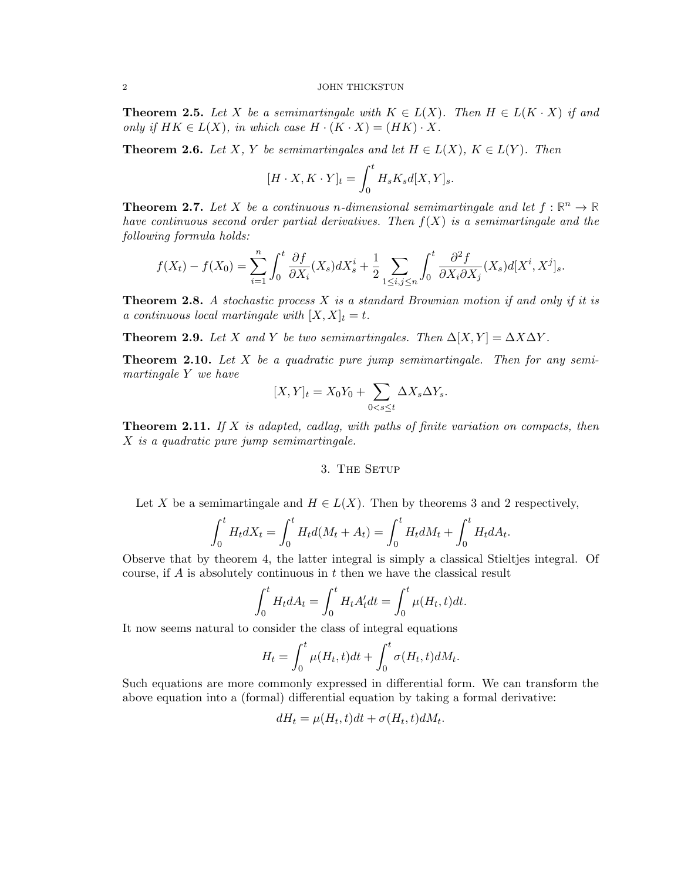#### 2 JOHN THICKSTUN

**Theorem 2.5.** Let X be a semimartingale with  $K \in L(X)$ . Then  $H \in L(K \cdot X)$  if and only if  $HK \in L(X)$ , in which case  $H \cdot (K \cdot X) = (HK) \cdot X$ .

**Theorem 2.6.** Let X, Y be semimartingales and let  $H \in L(X)$ ,  $K \in L(Y)$ . Then

$$
[H \cdot X, K \cdot Y]_t = \int_0^t H_s K_s d[X, Y]_s.
$$

**Theorem 2.7.** Let X be a continuous n-dimensional semimartingale and let  $f : \mathbb{R}^n \to \mathbb{R}$ have continuous second order partial derivatives. Then  $f(X)$  is a semimartingale and the following formula holds:

$$
f(X_t) - f(X_0) = \sum_{i=1}^n \int_0^t \frac{\partial f}{\partial X_i}(X_s) dX_s^i + \frac{1}{2} \sum_{1 \le i,j \le n} \int_0^t \frac{\partial^2 f}{\partial X_i \partial X_j}(X_s) d[X^i, X^j]_s.
$$

**Theorem 2.8.** A stochastic process  $X$  is a standard Brownian motion if and only if it is a continuous local martingale with  $[X, X]_t = t$ .

**Theorem 2.9.** Let X and Y be two semimartingales. Then  $\Delta[X, Y] = \Delta X \Delta Y$ .

**Theorem 2.10.** Let  $X$  be a quadratic pure jump semimartingale. Then for any semimartingale Y we have

$$
[X,Y]_t = X_0 Y_0 + \sum_{0 < s \le t} \Delta X_s \Delta Y_s.
$$

**Theorem 2.11.** If X is adapted, cadlag, with paths of finite variation on compacts, then X is a quadratic pure jump semimartingale.

### 3. THE SETUP

Let X be a semimartingale and  $H \in L(X)$ . Then by theorems 3 and 2 respectively,

$$
\int_0^t H_t dX_t = \int_0^t H_t d(M_t + A_t) = \int_0^t H_t dM_t + \int_0^t H_t dA_t.
$$

Observe that by theorem 4, the latter integral is simply a classical Stieltjes integral. Of course, if A is absolutely continuous in  $t$  then we have the classical result

$$
\int_0^t H_t dA_t = \int_0^t H_t A'_t dt = \int_0^t \mu(H_t, t) dt.
$$

It now seems natural to consider the class of integral equations

$$
H_t = \int_0^t \mu(H_t, t)dt + \int_0^t \sigma(H_t, t)dM_t.
$$

Such equations are more commonly expressed in differential form. We can transform the above equation into a (formal) differential equation by taking a formal derivative:

$$
dH_t = \mu(H_t, t)dt + \sigma(H_t, t)dM_t.
$$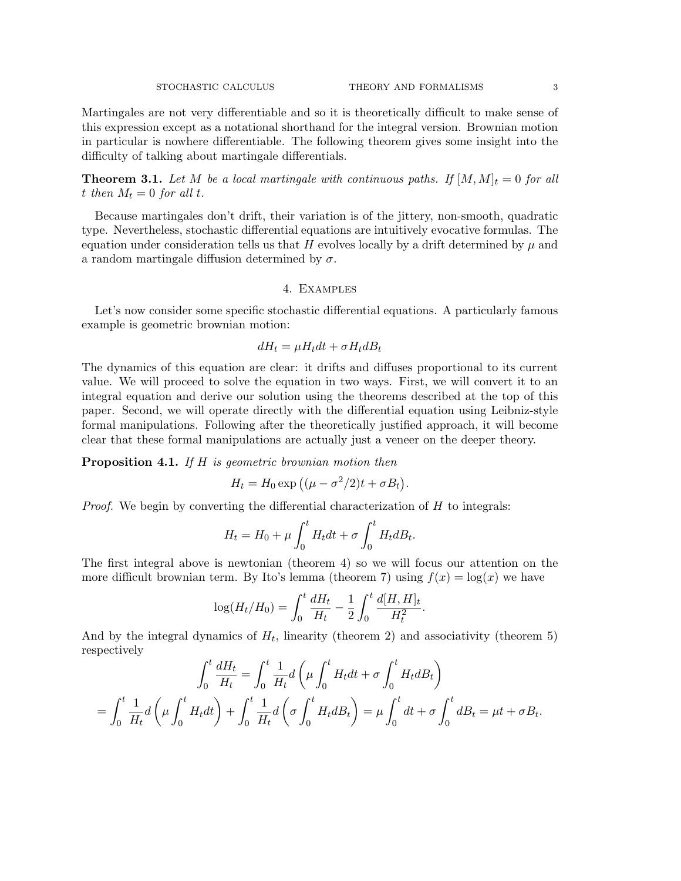Martingales are not very differentiable and so it is theoretically difficult to make sense of this expression except as a notational shorthand for the integral version. Brownian motion in particular is nowhere differentiable. The following theorem gives some insight into the difficulty of talking about martingale differentials.

**Theorem 3.1.** Let M be a local martingale with continuous paths. If  $[M, M]_t = 0$  for all t then  $M_t = 0$  for all t.

Because martingales don't drift, their variation is of the jittery, non-smooth, quadratic type. Nevertheless, stochastic differential equations are intuitively evocative formulas. The equation under consideration tells us that H evolves locally by a drift determined by  $\mu$  and a random martingale diffusion determined by  $\sigma$ .

# 4. Examples

Let's now consider some specific stochastic differential equations. A particularly famous example is geometric brownian motion:

$$
dH_t = \mu H_t dt + \sigma H_t dB_t
$$

The dynamics of this equation are clear: it drifts and diffuses proportional to its current value. We will proceed to solve the equation in two ways. First, we will convert it to an integral equation and derive our solution using the theorems described at the top of this paper. Second, we will operate directly with the differential equation using Leibniz-style formal manipulations. Following after the theoretically justified approach, it will become clear that these formal manipulations are actually just a veneer on the deeper theory.

**Proposition 4.1.** If  $H$  is geometric brownian motion then

$$
H_t = H_0 \exp ((\mu - \sigma^2/2)t + \sigma B_t).
$$

*Proof.* We begin by converting the differential characterization of  $H$  to integrals:

$$
H_t = H_0 + \mu \int_0^t H_t dt + \sigma \int_0^t H_t dB_t.
$$

The first integral above is newtonian (theorem 4) so we will focus our attention on the more difficult brownian term. By Ito's lemma (theorem 7) using  $f(x) = \log(x)$  we have

$$
\log(H_t/H_0) = \int_0^t \frac{dH_t}{H_t} - \frac{1}{2} \int_0^t \frac{d[H, H]_t}{H_t^2}.
$$

And by the integral dynamics of  $H_t$ , linearity (theorem 2) and associativity (theorem 5) respectively

$$
\int_0^t \frac{dH_t}{H_t} = \int_0^t \frac{1}{H_t} d\left(\mu \int_0^t H_t dt + \sigma \int_0^t H_t dB_t\right)
$$
  
= 
$$
\int_0^t \frac{1}{H_t} d\left(\mu \int_0^t H_t dt\right) + \int_0^t \frac{1}{H_t} d\left(\sigma \int_0^t H_t dB_t\right) = \mu \int_0^t dt + \sigma \int_0^t dB_t = \mu t + \sigma B_t.
$$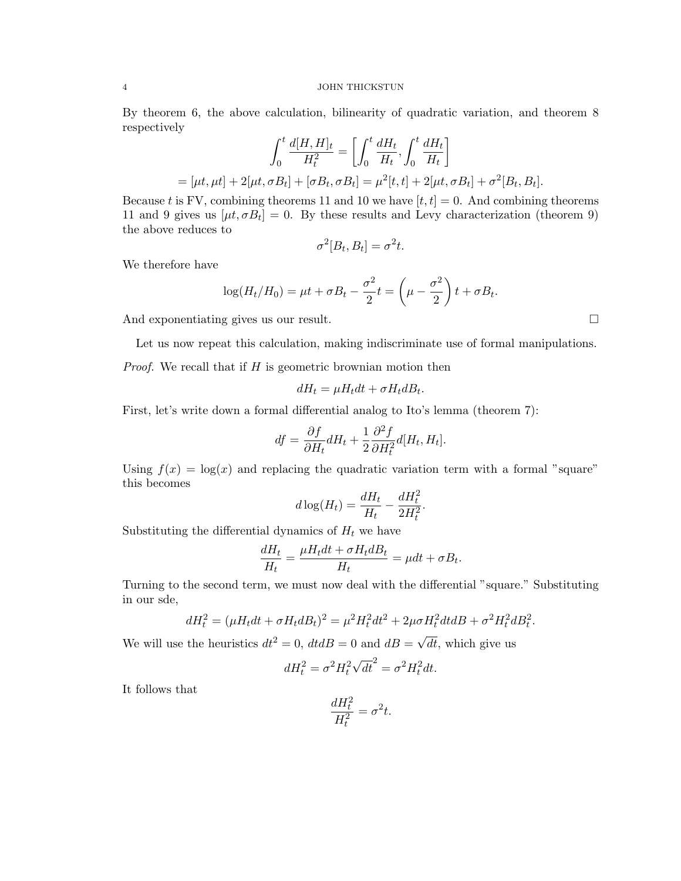# 4 JOHN THICKSTUN

By theorem 6, the above calculation, bilinearity of quadratic variation, and theorem 8 respectively

$$
\int_0^t \frac{d[H, H]_t}{H_t^2} = \left[ \int_0^t \frac{dH_t}{H_t}, \int_0^t \frac{dH_t}{H_t} \right]
$$
  
=  $[\mu t, \mu t] + 2[\mu t, \sigma B_t] + [\sigma B_t, \sigma B_t] = \mu^2[t, t] + 2[\mu t, \sigma B_t] + \sigma^2[B_t, B_t].$ 

Because t is FV, combining theorems 11 and 10 we have  $[t, t] = 0$ . And combining theorems 11 and 9 gives us  $[\mu t, \sigma B_t] = 0$ . By these results and Levy characterization (theorem 9) the above reduces to

$$
\sigma^2[B_t, B_t] = \sigma^2 t.
$$

We therefore have

$$
\log(H_t/H_0) = \mu t + \sigma B_t - \frac{\sigma^2}{2}t = \left(\mu - \frac{\sigma^2}{2}\right)t + \sigma B_t.
$$

And exponentiating gives us our result.

Let us now repeat this calculation, making indiscriminate use of formal manipulations.

*Proof.* We recall that if  $H$  is geometric brownian motion then

$$
dH_t = \mu H_t dt + \sigma H_t dB_t.
$$

First, let's write down a formal differential analog to Ito's lemma (theorem 7):

$$
df = \frac{\partial f}{\partial H_t} dH_t + \frac{1}{2} \frac{\partial^2 f}{\partial H_t^2} d[H_t, H_t].
$$

Using  $f(x) = \log(x)$  and replacing the quadratic variation term with a formal "square" this becomes

$$
d\log(H_t) = \frac{dH_t}{H_t} - \frac{dH_t^2}{2H_t^2}
$$

.

Substituting the differential dynamics of  $H_t$  we have

$$
\frac{dH_t}{H_t} = \frac{\mu H_t dt + \sigma H_t dB_t}{H_t} = \mu dt + \sigma B_t.
$$

Turning to the second term, we must now deal with the differential "square." Substituting in our sde,

$$
dH_t^2 = (\mu H_t dt + \sigma H_t dB_t)^2 = \mu^2 H_t^2 dt^2 + 2\mu \sigma H_t^2 dt dB + \sigma^2 H_t^2 dB_t^2.
$$

We will use the heuristics  $dt^2 = 0$ ,  $dt dB = 0$  and  $dB = \sqrt{\frac{d}{dt}}$ dt, which give us

$$
dH_t^2 = \sigma^2 H_t^2 \sqrt{dt}^2 = \sigma^2 H_t^2 dt.
$$

It follows that

$$
\frac{dH_t^2}{H_t^2} = \sigma^2 t.
$$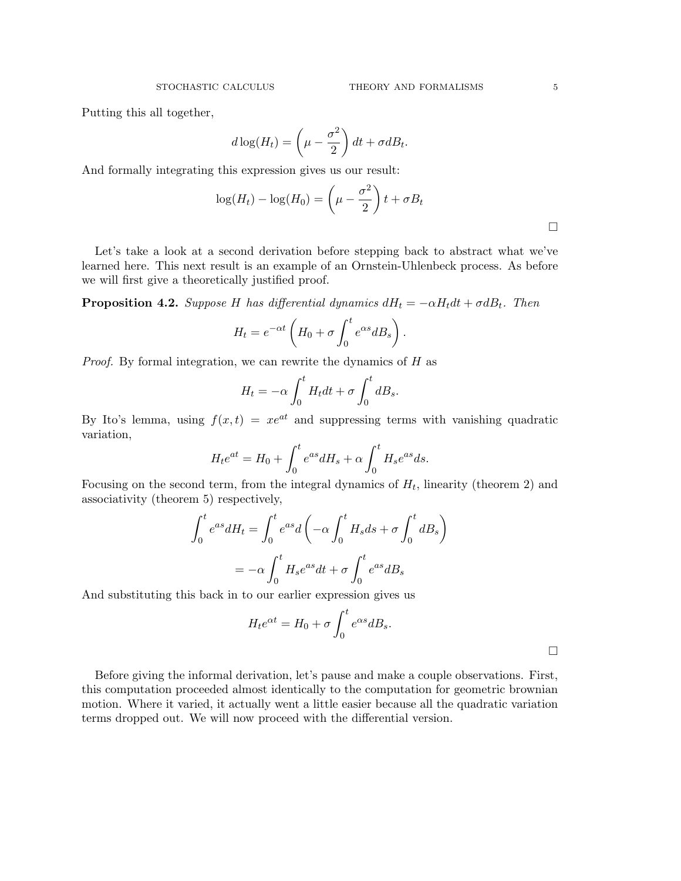Putting this all together,

$$
d\log(H_t) = \left(\mu - \frac{\sigma^2}{2}\right)dt + \sigma dB_t.
$$

And formally integrating this expression gives us our result:

$$
\log(H_t) - \log(H_0) = \left(\mu - \frac{\sigma^2}{2}\right)t + \sigma B_t
$$

Let's take a look at a second derivation before stepping back to abstract what we've learned here. This next result is an example of an Ornstein-Uhlenbeck process. As before we will first give a theoretically justified proof.

**Proposition 4.2.** Suppose H has differential dynamics  $dH_t = -\alpha H_t dt + \sigma dB_t$ . Then

$$
H_t = e^{-\alpha t} \left( H_0 + \sigma \int_0^t e^{\alpha s} dB_s \right).
$$

Proof. By formal integration, we can rewrite the dynamics of H as

$$
H_t = -\alpha \int_0^t H_t dt + \sigma \int_0^t dB_s.
$$

By Ito's lemma, using  $f(x, t) = xe^{at}$  and suppressing terms with vanishing quadratic variation,

$$
H_t e^{at} = H_0 + \int_0^t e^{as} dH_s + \alpha \int_0^t H_s e^{as} ds.
$$

Focusing on the second term, from the integral dynamics of  $H_t$ , linearity (theorem 2) and associativity (theorem 5) respectively,

$$
\int_0^t e^{as} dH_t = \int_0^t e^{as} d\left(-\alpha \int_0^t H_s ds + \sigma \int_0^t dB_s\right)
$$

$$
= -\alpha \int_0^t H_s e^{as} dt + \sigma \int_0^t e^{as} dB_s
$$

And substituting this back in to our earlier expression gives us

$$
H_t e^{\alpha t} = H_0 + \sigma \int_0^t e^{\alpha s} dB_s.
$$

Before giving the informal derivation, let's pause and make a couple observations. First, this computation proceeded almost identically to the computation for geometric brownian motion. Where it varied, it actually went a little easier because all the quadratic variation terms dropped out. We will now proceed with the differential version.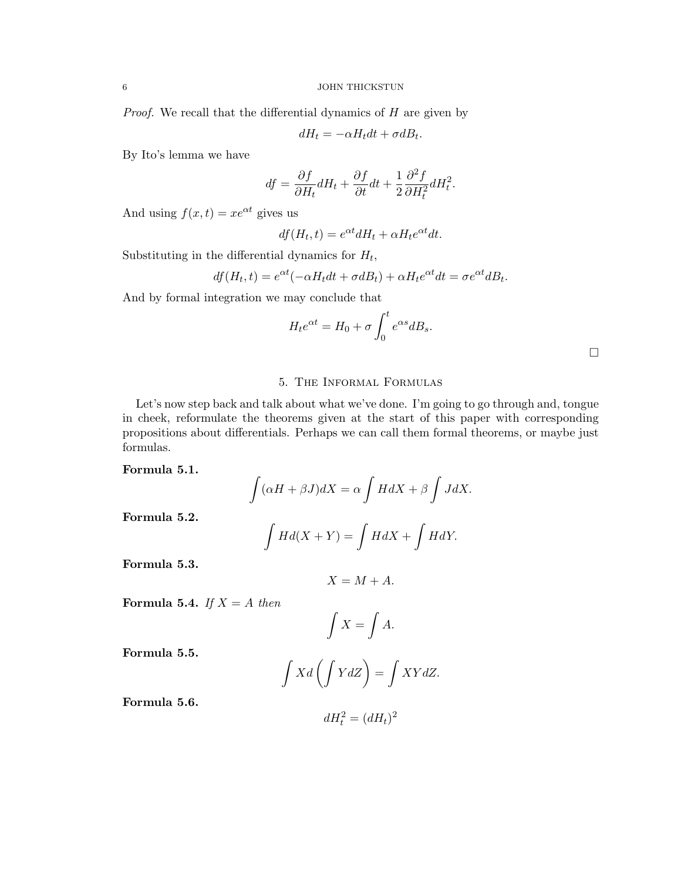Proof. We recall that the differential dynamics of H are given by

$$
dH_t = -\alpha H_t dt + \sigma dB_t.
$$

By Ito's lemma we have

$$
df = \frac{\partial f}{\partial H_t} dH_t + \frac{\partial f}{\partial t} dt + \frac{1}{2} \frac{\partial^2 f}{\partial H_t^2} dH_t^2.
$$

And using  $f(x, t) = xe^{\alpha t}$  gives us

$$
df(H_t, t) = e^{\alpha t} dH_t + \alpha H_t e^{\alpha t} dt.
$$

Substituting in the differential dynamics for  $H_t$ ,

$$
df(H_t, t) = e^{\alpha t}(-\alpha H_t dt + \sigma dB_t) + \alpha H_t e^{\alpha t} dt = \sigma e^{\alpha t} dB_t.
$$

And by formal integration we may conclude that

$$
H_t e^{\alpha t} = H_0 + \sigma \int_0^t e^{\alpha s} dB_s.
$$

 $\Box$ 

# 5. The Informal Formulas

Let's now step back and talk about what we've done. I'm going to go through and, tongue in cheek, reformulate the theorems given at the start of this paper with corresponding propositions about differentials. Perhaps we can call them formal theorems, or maybe just formulas.

# Formula 5.1.

$$
\int (\alpha H + \beta J) dX = \alpha \int H dX + \beta \int J dX.
$$

Formula 5.2.

$$
\int Hd(X+Y) = \int HdX + \int HdY.
$$

Formula 5.3.

 $X = M + A$ .

Formula 5.4. If  $X = A$  then

$$
\int X = \int A.
$$

Formula 5.5.

$$
\int X d\left(\int Y dZ\right) = \int XY dZ.
$$

Formula 5.6.

$$
dH_t^2 = (dH_t)^2
$$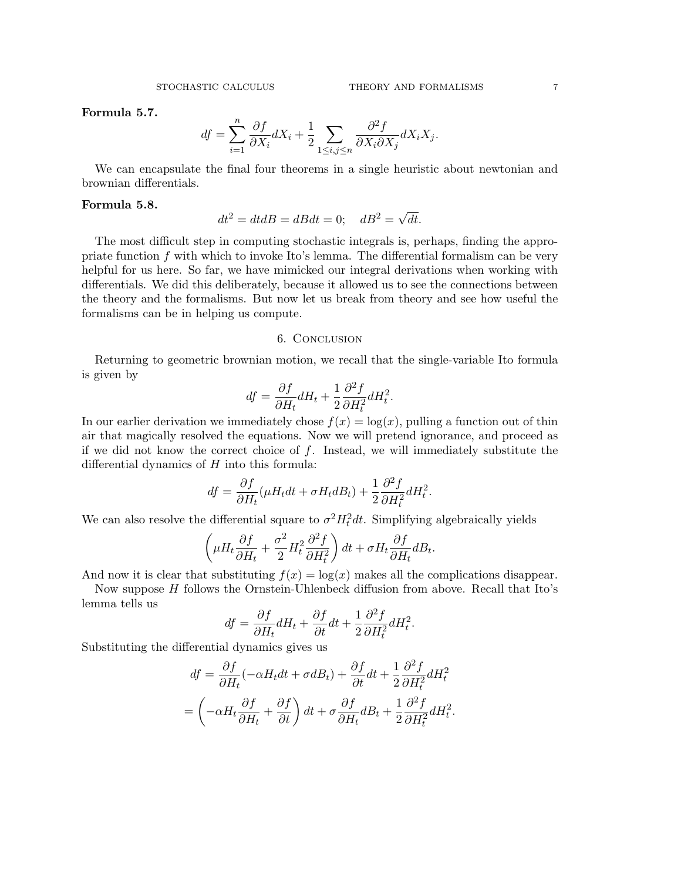Formula 5.7.

$$
df = \sum_{i=1}^{n} \frac{\partial f}{\partial X_i} dX_i + \frac{1}{2} \sum_{1 \le i,j \le n} \frac{\partial^2 f}{\partial X_i \partial X_j} dX_i X_j.
$$

We can encapsulate the final four theorems in a single heuristic about newtonian and brownian differentials.

### Formula 5.8.

$$
dt^2 = dtdB = dBdt = 0; \quad dB^2 = \sqrt{dt}.
$$

The most difficult step in computing stochastic integrals is, perhaps, finding the appropriate function  $f$  with which to invoke Ito's lemma. The differential formalism can be very helpful for us here. So far, we have mimicked our integral derivations when working with differentials. We did this deliberately, because it allowed us to see the connections between the theory and the formalisms. But now let us break from theory and see how useful the formalisms can be in helping us compute.

# 6. Conclusion

Returning to geometric brownian motion, we recall that the single-variable Ito formula is given by

$$
df = \frac{\partial f}{\partial H_t} dH_t + \frac{1}{2} \frac{\partial^2 f}{\partial H_t^2} dH_t^2.
$$

In our earlier derivation we immediately chose  $f(x) = \log(x)$ , pulling a function out of thin air that magically resolved the equations. Now we will pretend ignorance, and proceed as if we did not know the correct choice of  $f$ . Instead, we will immediately substitute the differential dynamics of  $H$  into this formula:

$$
df = \frac{\partial f}{\partial H_t}(\mu H_t dt + \sigma H_t dB_t) + \frac{1}{2} \frac{\partial^2 f}{\partial H_t^2} dH_t^2.
$$

We can also resolve the differential square to  $\sigma^2 H_t^2 dt$ . Simplifying algebraically yields

$$
\left(\mu H_t \frac{\partial f}{\partial H_t} + \frac{\sigma^2}{2} H_t^2 \frac{\partial^2 f}{\partial H_t^2}\right) dt + \sigma H_t \frac{\partial f}{\partial H_t} dB_t.
$$

And now it is clear that substituting  $f(x) = \log(x)$  makes all the complications disappear.

Now suppose H follows the Ornstein-Uhlenbeck diffusion from above. Recall that Ito's lemma tells us

$$
df = \frac{\partial f}{\partial H_t} dH_t + \frac{\partial f}{\partial t} dt + \frac{1}{2} \frac{\partial^2 f}{\partial H_t^2} dH_t^2.
$$

Substituting the differential dynamics gives us

$$
df = \frac{\partial f}{\partial H_t}(-\alpha H_t dt + \sigma dB_t) + \frac{\partial f}{\partial t}dt + \frac{1}{2}\frac{\partial^2 f}{\partial H_t^2}dH_t^2
$$
  
=  $\left(-\alpha H_t \frac{\partial f}{\partial H_t} + \frac{\partial f}{\partial t}\right)dt + \sigma \frac{\partial f}{\partial H_t}dB_t + \frac{1}{2}\frac{\partial^2 f}{\partial H_t^2}dH_t^2.$